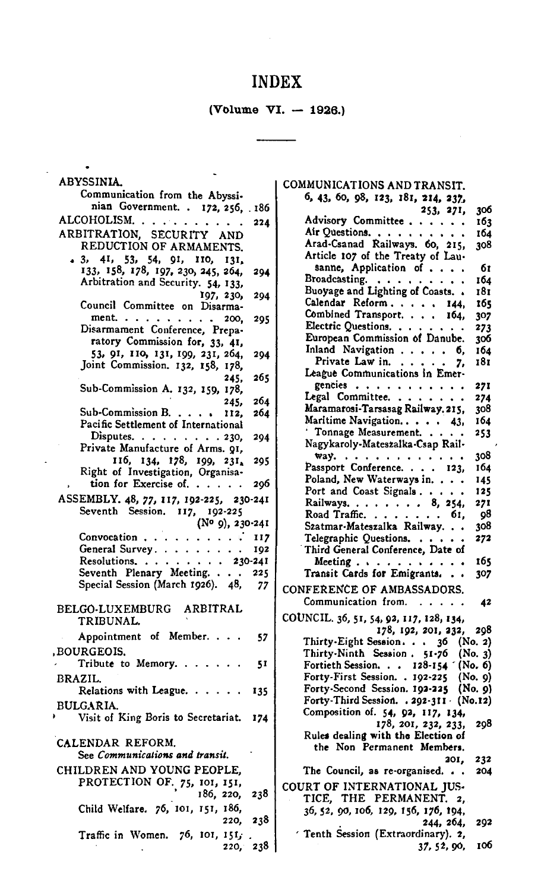## INDEX

 $\sim 10^{-1}$ 

(Volume VI.  $-$  1926.)

| <b>ABYSSINIA.</b><br>Communication from the Abyssi-<br>nian Government. . 172, 256, 186<br>ALCOHOLISM<br>والمناورة وأنو<br>224<br>ARBITRATION, SECURITY AND<br>REDUCTION OF ARMAMENTS.<br>$\bullet$ 3, 4I, 53, 54, 9I, 110,<br>131.<br>133, 158, 178, 197, 230, 245, 264,<br>294<br>Arbitration and Security. 54, 133,<br>197, 230,<br>294<br>Council Committee on Disarma-<br>ment. $\cdots$<br>295<br>$\cdots$ $\cdots$ 200,<br>Disarmament Conference, Prepa-<br>ratory Commission for, 33, 41,<br>53, 91, 110, 131, 199, 231, 264,<br>294<br>Joint Commission. 132, 158, 178,<br>265<br>245,<br>Sub-Commission A. 132, 159, 178,<br>264<br>245.<br>Sub-Commission B. $\ldots$<br>264<br>112,<br>Pacific Settlement of International<br>Disputes. $\ldots$ $\ldots$ $\ldots$ $\ldots$ 230,<br>294<br>Private Manufacture of Arms. 91,<br>116, 134, 178, 199, 231,<br>295<br>Right of Investigation, Organisa-<br>tion for Exercise of.<br>296<br>ASSEMBLY. 48, 77, 117, 192-225, 230-241<br>Seventh Session. 117, 192-225<br>$(N^o, 9)$ , 230-241<br>Convocation<br>117<br>General Survey.<br>$\cdots$<br>192<br>Resolutions.<br>$\cdots$<br>230-241<br>Seventh Plenary Meeting. 225<br>Special Session (March 1926). 48,<br>77<br>BELGO-LUXEMBURG ARBITRAL<br>TRIBUNAL.<br>Appointment of Member.<br>57<br>,BOURGEOIS,<br>Tribute to Memory.<br>51<br>BRAZIL.<br>Relations with League. $\ldots$ .<br>135<br>BULGARIA.<br>Visit of King Boris to Secretariat.<br>174<br>CALENDAR REFORM.<br>See Communications and transit.<br>CHILDREN AND YOUNG PEOPLE,<br>PROTECTION OF. 75, 101, 151,<br>186, 220, 238<br>Child Welfare. 76, 101, 151, 186,<br>220, 238<br>Traffic in Women. $76$ , 101, 151, |          |
|-------------------------------------------------------------------------------------------------------------------------------------------------------------------------------------------------------------------------------------------------------------------------------------------------------------------------------------------------------------------------------------------------------------------------------------------------------------------------------------------------------------------------------------------------------------------------------------------------------------------------------------------------------------------------------------------------------------------------------------------------------------------------------------------------------------------------------------------------------------------------------------------------------------------------------------------------------------------------------------------------------------------------------------------------------------------------------------------------------------------------------------------------------------------------------------------------------------------------------------------------------------------------------------------------------------------------------------------------------------------------------------------------------------------------------------------------------------------------------------------------------------------------------------------------------------------------------------------------------------------------------------------------------------------------------------------------------|----------|
|                                                                                                                                                                                                                                                                                                                                                                                                                                                                                                                                                                                                                                                                                                                                                                                                                                                                                                                                                                                                                                                                                                                                                                                                                                                                                                                                                                                                                                                                                                                                                                                                                                                                                                       |          |
|                                                                                                                                                                                                                                                                                                                                                                                                                                                                                                                                                                                                                                                                                                                                                                                                                                                                                                                                                                                                                                                                                                                                                                                                                                                                                                                                                                                                                                                                                                                                                                                                                                                                                                       |          |
|                                                                                                                                                                                                                                                                                                                                                                                                                                                                                                                                                                                                                                                                                                                                                                                                                                                                                                                                                                                                                                                                                                                                                                                                                                                                                                                                                                                                                                                                                                                                                                                                                                                                                                       |          |
|                                                                                                                                                                                                                                                                                                                                                                                                                                                                                                                                                                                                                                                                                                                                                                                                                                                                                                                                                                                                                                                                                                                                                                                                                                                                                                                                                                                                                                                                                                                                                                                                                                                                                                       |          |
|                                                                                                                                                                                                                                                                                                                                                                                                                                                                                                                                                                                                                                                                                                                                                                                                                                                                                                                                                                                                                                                                                                                                                                                                                                                                                                                                                                                                                                                                                                                                                                                                                                                                                                       |          |
|                                                                                                                                                                                                                                                                                                                                                                                                                                                                                                                                                                                                                                                                                                                                                                                                                                                                                                                                                                                                                                                                                                                                                                                                                                                                                                                                                                                                                                                                                                                                                                                                                                                                                                       |          |
|                                                                                                                                                                                                                                                                                                                                                                                                                                                                                                                                                                                                                                                                                                                                                                                                                                                                                                                                                                                                                                                                                                                                                                                                                                                                                                                                                                                                                                                                                                                                                                                                                                                                                                       |          |
|                                                                                                                                                                                                                                                                                                                                                                                                                                                                                                                                                                                                                                                                                                                                                                                                                                                                                                                                                                                                                                                                                                                                                                                                                                                                                                                                                                                                                                                                                                                                                                                                                                                                                                       |          |
|                                                                                                                                                                                                                                                                                                                                                                                                                                                                                                                                                                                                                                                                                                                                                                                                                                                                                                                                                                                                                                                                                                                                                                                                                                                                                                                                                                                                                                                                                                                                                                                                                                                                                                       |          |
|                                                                                                                                                                                                                                                                                                                                                                                                                                                                                                                                                                                                                                                                                                                                                                                                                                                                                                                                                                                                                                                                                                                                                                                                                                                                                                                                                                                                                                                                                                                                                                                                                                                                                                       |          |
|                                                                                                                                                                                                                                                                                                                                                                                                                                                                                                                                                                                                                                                                                                                                                                                                                                                                                                                                                                                                                                                                                                                                                                                                                                                                                                                                                                                                                                                                                                                                                                                                                                                                                                       |          |
|                                                                                                                                                                                                                                                                                                                                                                                                                                                                                                                                                                                                                                                                                                                                                                                                                                                                                                                                                                                                                                                                                                                                                                                                                                                                                                                                                                                                                                                                                                                                                                                                                                                                                                       |          |
|                                                                                                                                                                                                                                                                                                                                                                                                                                                                                                                                                                                                                                                                                                                                                                                                                                                                                                                                                                                                                                                                                                                                                                                                                                                                                                                                                                                                                                                                                                                                                                                                                                                                                                       |          |
|                                                                                                                                                                                                                                                                                                                                                                                                                                                                                                                                                                                                                                                                                                                                                                                                                                                                                                                                                                                                                                                                                                                                                                                                                                                                                                                                                                                                                                                                                                                                                                                                                                                                                                       |          |
|                                                                                                                                                                                                                                                                                                                                                                                                                                                                                                                                                                                                                                                                                                                                                                                                                                                                                                                                                                                                                                                                                                                                                                                                                                                                                                                                                                                                                                                                                                                                                                                                                                                                                                       |          |
|                                                                                                                                                                                                                                                                                                                                                                                                                                                                                                                                                                                                                                                                                                                                                                                                                                                                                                                                                                                                                                                                                                                                                                                                                                                                                                                                                                                                                                                                                                                                                                                                                                                                                                       |          |
|                                                                                                                                                                                                                                                                                                                                                                                                                                                                                                                                                                                                                                                                                                                                                                                                                                                                                                                                                                                                                                                                                                                                                                                                                                                                                                                                                                                                                                                                                                                                                                                                                                                                                                       |          |
|                                                                                                                                                                                                                                                                                                                                                                                                                                                                                                                                                                                                                                                                                                                                                                                                                                                                                                                                                                                                                                                                                                                                                                                                                                                                                                                                                                                                                                                                                                                                                                                                                                                                                                       |          |
|                                                                                                                                                                                                                                                                                                                                                                                                                                                                                                                                                                                                                                                                                                                                                                                                                                                                                                                                                                                                                                                                                                                                                                                                                                                                                                                                                                                                                                                                                                                                                                                                                                                                                                       |          |
|                                                                                                                                                                                                                                                                                                                                                                                                                                                                                                                                                                                                                                                                                                                                                                                                                                                                                                                                                                                                                                                                                                                                                                                                                                                                                                                                                                                                                                                                                                                                                                                                                                                                                                       |          |
|                                                                                                                                                                                                                                                                                                                                                                                                                                                                                                                                                                                                                                                                                                                                                                                                                                                                                                                                                                                                                                                                                                                                                                                                                                                                                                                                                                                                                                                                                                                                                                                                                                                                                                       |          |
|                                                                                                                                                                                                                                                                                                                                                                                                                                                                                                                                                                                                                                                                                                                                                                                                                                                                                                                                                                                                                                                                                                                                                                                                                                                                                                                                                                                                                                                                                                                                                                                                                                                                                                       |          |
|                                                                                                                                                                                                                                                                                                                                                                                                                                                                                                                                                                                                                                                                                                                                                                                                                                                                                                                                                                                                                                                                                                                                                                                                                                                                                                                                                                                                                                                                                                                                                                                                                                                                                                       |          |
|                                                                                                                                                                                                                                                                                                                                                                                                                                                                                                                                                                                                                                                                                                                                                                                                                                                                                                                                                                                                                                                                                                                                                                                                                                                                                                                                                                                                                                                                                                                                                                                                                                                                                                       |          |
|                                                                                                                                                                                                                                                                                                                                                                                                                                                                                                                                                                                                                                                                                                                                                                                                                                                                                                                                                                                                                                                                                                                                                                                                                                                                                                                                                                                                                                                                                                                                                                                                                                                                                                       |          |
|                                                                                                                                                                                                                                                                                                                                                                                                                                                                                                                                                                                                                                                                                                                                                                                                                                                                                                                                                                                                                                                                                                                                                                                                                                                                                                                                                                                                                                                                                                                                                                                                                                                                                                       |          |
|                                                                                                                                                                                                                                                                                                                                                                                                                                                                                                                                                                                                                                                                                                                                                                                                                                                                                                                                                                                                                                                                                                                                                                                                                                                                                                                                                                                                                                                                                                                                                                                                                                                                                                       |          |
|                                                                                                                                                                                                                                                                                                                                                                                                                                                                                                                                                                                                                                                                                                                                                                                                                                                                                                                                                                                                                                                                                                                                                                                                                                                                                                                                                                                                                                                                                                                                                                                                                                                                                                       |          |
|                                                                                                                                                                                                                                                                                                                                                                                                                                                                                                                                                                                                                                                                                                                                                                                                                                                                                                                                                                                                                                                                                                                                                                                                                                                                                                                                                                                                                                                                                                                                                                                                                                                                                                       |          |
|                                                                                                                                                                                                                                                                                                                                                                                                                                                                                                                                                                                                                                                                                                                                                                                                                                                                                                                                                                                                                                                                                                                                                                                                                                                                                                                                                                                                                                                                                                                                                                                                                                                                                                       |          |
|                                                                                                                                                                                                                                                                                                                                                                                                                                                                                                                                                                                                                                                                                                                                                                                                                                                                                                                                                                                                                                                                                                                                                                                                                                                                                                                                                                                                                                                                                                                                                                                                                                                                                                       |          |
|                                                                                                                                                                                                                                                                                                                                                                                                                                                                                                                                                                                                                                                                                                                                                                                                                                                                                                                                                                                                                                                                                                                                                                                                                                                                                                                                                                                                                                                                                                                                                                                                                                                                                                       |          |
|                                                                                                                                                                                                                                                                                                                                                                                                                                                                                                                                                                                                                                                                                                                                                                                                                                                                                                                                                                                                                                                                                                                                                                                                                                                                                                                                                                                                                                                                                                                                                                                                                                                                                                       |          |
|                                                                                                                                                                                                                                                                                                                                                                                                                                                                                                                                                                                                                                                                                                                                                                                                                                                                                                                                                                                                                                                                                                                                                                                                                                                                                                                                                                                                                                                                                                                                                                                                                                                                                                       |          |
|                                                                                                                                                                                                                                                                                                                                                                                                                                                                                                                                                                                                                                                                                                                                                                                                                                                                                                                                                                                                                                                                                                                                                                                                                                                                                                                                                                                                                                                                                                                                                                                                                                                                                                       |          |
|                                                                                                                                                                                                                                                                                                                                                                                                                                                                                                                                                                                                                                                                                                                                                                                                                                                                                                                                                                                                                                                                                                                                                                                                                                                                                                                                                                                                                                                                                                                                                                                                                                                                                                       |          |
|                                                                                                                                                                                                                                                                                                                                                                                                                                                                                                                                                                                                                                                                                                                                                                                                                                                                                                                                                                                                                                                                                                                                                                                                                                                                                                                                                                                                                                                                                                                                                                                                                                                                                                       |          |
|                                                                                                                                                                                                                                                                                                                                                                                                                                                                                                                                                                                                                                                                                                                                                                                                                                                                                                                                                                                                                                                                                                                                                                                                                                                                                                                                                                                                                                                                                                                                                                                                                                                                                                       |          |
|                                                                                                                                                                                                                                                                                                                                                                                                                                                                                                                                                                                                                                                                                                                                                                                                                                                                                                                                                                                                                                                                                                                                                                                                                                                                                                                                                                                                                                                                                                                                                                                                                                                                                                       |          |
|                                                                                                                                                                                                                                                                                                                                                                                                                                                                                                                                                                                                                                                                                                                                                                                                                                                                                                                                                                                                                                                                                                                                                                                                                                                                                                                                                                                                                                                                                                                                                                                                                                                                                                       |          |
|                                                                                                                                                                                                                                                                                                                                                                                                                                                                                                                                                                                                                                                                                                                                                                                                                                                                                                                                                                                                                                                                                                                                                                                                                                                                                                                                                                                                                                                                                                                                                                                                                                                                                                       |          |
|                                                                                                                                                                                                                                                                                                                                                                                                                                                                                                                                                                                                                                                                                                                                                                                                                                                                                                                                                                                                                                                                                                                                                                                                                                                                                                                                                                                                                                                                                                                                                                                                                                                                                                       |          |
|                                                                                                                                                                                                                                                                                                                                                                                                                                                                                                                                                                                                                                                                                                                                                                                                                                                                                                                                                                                                                                                                                                                                                                                                                                                                                                                                                                                                                                                                                                                                                                                                                                                                                                       |          |
|                                                                                                                                                                                                                                                                                                                                                                                                                                                                                                                                                                                                                                                                                                                                                                                                                                                                                                                                                                                                                                                                                                                                                                                                                                                                                                                                                                                                                                                                                                                                                                                                                                                                                                       |          |
|                                                                                                                                                                                                                                                                                                                                                                                                                                                                                                                                                                                                                                                                                                                                                                                                                                                                                                                                                                                                                                                                                                                                                                                                                                                                                                                                                                                                                                                                                                                                                                                                                                                                                                       |          |
|                                                                                                                                                                                                                                                                                                                                                                                                                                                                                                                                                                                                                                                                                                                                                                                                                                                                                                                                                                                                                                                                                                                                                                                                                                                                                                                                                                                                                                                                                                                                                                                                                                                                                                       |          |
|                                                                                                                                                                                                                                                                                                                                                                                                                                                                                                                                                                                                                                                                                                                                                                                                                                                                                                                                                                                                                                                                                                                                                                                                                                                                                                                                                                                                                                                                                                                                                                                                                                                                                                       |          |
|                                                                                                                                                                                                                                                                                                                                                                                                                                                                                                                                                                                                                                                                                                                                                                                                                                                                                                                                                                                                                                                                                                                                                                                                                                                                                                                                                                                                                                                                                                                                                                                                                                                                                                       |          |
|                                                                                                                                                                                                                                                                                                                                                                                                                                                                                                                                                                                                                                                                                                                                                                                                                                                                                                                                                                                                                                                                                                                                                                                                                                                                                                                                                                                                                                                                                                                                                                                                                                                                                                       |          |
|                                                                                                                                                                                                                                                                                                                                                                                                                                                                                                                                                                                                                                                                                                                                                                                                                                                                                                                                                                                                                                                                                                                                                                                                                                                                                                                                                                                                                                                                                                                                                                                                                                                                                                       |          |
|                                                                                                                                                                                                                                                                                                                                                                                                                                                                                                                                                                                                                                                                                                                                                                                                                                                                                                                                                                                                                                                                                                                                                                                                                                                                                                                                                                                                                                                                                                                                                                                                                                                                                                       |          |
|                                                                                                                                                                                                                                                                                                                                                                                                                                                                                                                                                                                                                                                                                                                                                                                                                                                                                                                                                                                                                                                                                                                                                                                                                                                                                                                                                                                                                                                                                                                                                                                                                                                                                                       |          |
|                                                                                                                                                                                                                                                                                                                                                                                                                                                                                                                                                                                                                                                                                                                                                                                                                                                                                                                                                                                                                                                                                                                                                                                                                                                                                                                                                                                                                                                                                                                                                                                                                                                                                                       |          |
|                                                                                                                                                                                                                                                                                                                                                                                                                                                                                                                                                                                                                                                                                                                                                                                                                                                                                                                                                                                                                                                                                                                                                                                                                                                                                                                                                                                                                                                                                                                                                                                                                                                                                                       |          |
|                                                                                                                                                                                                                                                                                                                                                                                                                                                                                                                                                                                                                                                                                                                                                                                                                                                                                                                                                                                                                                                                                                                                                                                                                                                                                                                                                                                                                                                                                                                                                                                                                                                                                                       |          |
|                                                                                                                                                                                                                                                                                                                                                                                                                                                                                                                                                                                                                                                                                                                                                                                                                                                                                                                                                                                                                                                                                                                                                                                                                                                                                                                                                                                                                                                                                                                                                                                                                                                                                                       |          |
|                                                                                                                                                                                                                                                                                                                                                                                                                                                                                                                                                                                                                                                                                                                                                                                                                                                                                                                                                                                                                                                                                                                                                                                                                                                                                                                                                                                                                                                                                                                                                                                                                                                                                                       |          |
|                                                                                                                                                                                                                                                                                                                                                                                                                                                                                                                                                                                                                                                                                                                                                                                                                                                                                                                                                                                                                                                                                                                                                                                                                                                                                                                                                                                                                                                                                                                                                                                                                                                                                                       |          |
|                                                                                                                                                                                                                                                                                                                                                                                                                                                                                                                                                                                                                                                                                                                                                                                                                                                                                                                                                                                                                                                                                                                                                                                                                                                                                                                                                                                                                                                                                                                                                                                                                                                                                                       |          |
|                                                                                                                                                                                                                                                                                                                                                                                                                                                                                                                                                                                                                                                                                                                                                                                                                                                                                                                                                                                                                                                                                                                                                                                                                                                                                                                                                                                                                                                                                                                                                                                                                                                                                                       |          |
|                                                                                                                                                                                                                                                                                                                                                                                                                                                                                                                                                                                                                                                                                                                                                                                                                                                                                                                                                                                                                                                                                                                                                                                                                                                                                                                                                                                                                                                                                                                                                                                                                                                                                                       |          |
|                                                                                                                                                                                                                                                                                                                                                                                                                                                                                                                                                                                                                                                                                                                                                                                                                                                                                                                                                                                                                                                                                                                                                                                                                                                                                                                                                                                                                                                                                                                                                                                                                                                                                                       | 220, 238 |

 $\mathcal{L}^{\mathcal{L}}$ 

| COMMUNICATIONS AND TRANSIT. |  |
|-----------------------------|--|

 $\sim 10^7$ 

| AAMMAMIATIANS YIJA TKYISII.                               |
|-----------------------------------------------------------|
| 6, 43, 60, 98, 123, 181, 214, 237,                        |
| 306<br>253, 271,                                          |
| Advisory Committee<br>163                                 |
| Air Questions.<br>164                                     |
| Arad-Csanad Railways. 60, 215,<br>308                     |
| Article 107 of the Treaty of Lau-                         |
| sanne, Application of<br><b>61</b>                        |
| 164                                                       |
| Broadcasting.<br>Buoyage and Lighting of Coasts. .<br>181 |
| Calendar Reform. 144,<br>165                              |
| Combined Transport. 164,<br>307                           |
| Electric Questions.<br>273                                |
| European Commission of Danube.<br>306                     |
| Inland Navigation 6,<br>164                               |
|                                                           |
| Private Law in. $\ldots$ . 7,<br>181                      |
| League Communications in Emer-                            |
| gencies<br>271                                            |
| Legal Committee.<br>274                                   |
| Maramarosi-Tarsasag Railway. 215,<br>308                  |
| Maritime Navigation 43,<br>164                            |
| Tonnage Measurement.<br>253                               |
| Nagykaroly-Mateszalka-Csap Rail-                          |
| 308<br>way. $\cdots$                                      |
| Passport Conference. 123,<br>164                          |
| Poland, New Waterways in.<br>145                          |
| Port and Coast Signals.<br>125                            |
| Railways. 8, 254,<br>271                                  |
| Road Traffic. 61,<br>98                                   |
| Szatmar-Mateszalka Railway<br>308                         |
| Telegraphic Questions.<br>272                             |
| Third General Conference, Date of                         |
| Meeting $\ldots$ , $\ldots$ , $\ldots$<br>165             |
| Transit Cards for Emigrants<br>307                        |
|                                                           |
| CONFERENCE OF AMBASSADORS.                                |
| Communication from.<br>42                                 |
| COUNCIL. 36, 51, 54, 92, 117, 128, 134,                   |
| 178, 192, 201, 232, 298                                   |
| Thirty-Eight Session. 36 (No. 2)                          |
| Thirty-Ninth Session . 51-76 (No. 3)                      |
| Fortieth Session. 128-154 (No. 6)                         |
| Forty-First Session. . 192-225 (No. 9)                    |
| Forty-Second Session. 192-225 (No. 9)                     |
| Forty-Third Session. . 292-311 (No.12)                    |
| Composition of. 54, 92, 117, 134,                         |
|                                                           |
| 178, 201, 232, 233,<br>298                                |
| Rules dealing with the Election of                        |
| the Non Permanent Members.                                |
| 20I, 232                                                  |
| The Council, as re-organised. 204                         |
| COURT OF INTERNATIONAL JUS-                               |
| TICE, THE PERMANENT. 2,                                   |
| 36, 52, 90, 106, 129, 156, 176, 194,                      |
| 244, 264,<br>292                                          |
| Tenth Session (Extraordinary). 2,                         |
| 106<br>37, 52, 90,                                        |
|                                                           |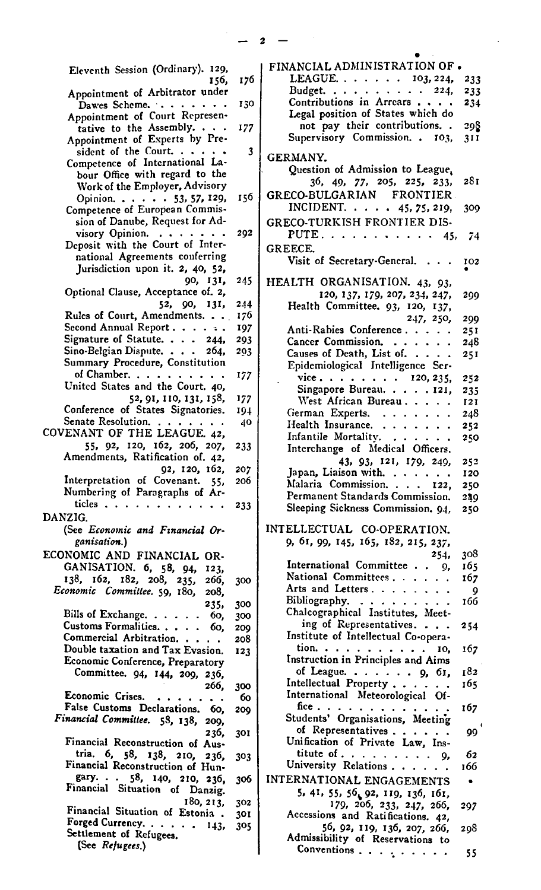|                                                                   |     | 2                                               |  |
|-------------------------------------------------------------------|-----|-------------------------------------------------|--|
|                                                                   |     |                                                 |  |
| Eleventh Session (Ordinary). 129,                                 |     | FINANCIAL ADMINISTRATION OF.                    |  |
| 156,                                                              | 176 | LEAGUE. $\cdots$ $\cdots$ 103, 224,<br>233      |  |
| Appointment of Arbitrator under                                   |     | Budget. 224,<br>233<br>Contributions in Arrears |  |
| Dawes Scheme.                                                     | 130 | 234<br>Legal position of States which do        |  |
| Appointment of Court Represen-                                    |     | not pay their contributions<br>298              |  |
| tative to the Assembly.                                           | 177 | Supervisory Commission. . 103,<br>311           |  |
| Appointment of Experts by Pre-<br>sident of the Court. $\cdots$   |     |                                                 |  |
| Competence of International La-                                   | 3   | GERMANY.                                        |  |
| bour Office with regard to the                                    |     | Question of Admission to League,                |  |
| Work of the Employer, Advisory                                    |     | 281<br>36, 49, 77, 205, 225, 233,               |  |
| Opinion. 53, 57, 129,                                             | 156 | GRECO-BULGARIAN<br><b>FRONTIER</b>              |  |
| Competence of European Commis-                                    |     | INCIDENT. 45, 75, 219,<br>309                   |  |
| sion of Danube, Request for Ad-                                   |     | <b>GRECO-TURKISH FRONTIER DIS-</b>              |  |
| visory Opinion.                                                   | 292 | PUTE. $\ldots$ 45,<br>-74                       |  |
| Deposit with the Court of Inter-                                  |     |                                                 |  |
| national Agreements conferring                                    |     | GREECE.                                         |  |
| Jurisdiction upon it. 2, 40, 52,                                  |     | Visit of Secretary-General.<br>102              |  |
| 90, 131,                                                          | 245 | HEALTH ORGANISATION. 43, 93,                    |  |
| Optional Clause, Acceptance of. 2,                                |     | 120, 137, 179, 207, 234, 247,<br>299            |  |
| 52, 90, 131,                                                      | 244 | Health Committee. 93, 120, 137,                 |  |
| Rules of Court, Amendments.                                       | 176 | 247, 250,<br>299                                |  |
| Second Annual Report                                              | 197 | Anti-Rabies Conference<br>251                   |  |
| Signature of Statute. 244,                                        | 293 | Cancer Commission.<br>248                       |  |
| Sino-Belgian Dispute. $\cdots$ 264,                               | 293 | Causes of Death, List of.<br>25I                |  |
| Summary Procedure, Constitution                                   |     | Epidemiological Intelligence Ser-               |  |
| of Chamber.                                                       | 177 | vice $120, 235,$<br>252                         |  |
| United States and the Court. 40,                                  |     | Singapore Bureau. 121,<br>235                   |  |
| 52, 91, 110, 131, 158,                                            | 177 | West African Bureau.<br>121                     |  |
| Conference of States Signatories.                                 | 194 | German Experts.<br>248                          |  |
| Senate Resolution.                                                | 40  | Health Insurance.<br>252                        |  |
| COVENANT OF THE LEAGUE. 42,                                       |     | Infantile Mortality.<br>250                     |  |
| 55, 92, 120, 162, 206, 207,                                       | 233 | Interchange of Medical Officers.                |  |
| Amendments, Ratification of. 42,                                  |     | 43, 93, 121, 179, 249,<br>252                   |  |
| 92, 120, 162,                                                     | 207 | Japan, Liaison with.<br>120                     |  |
| Interpretation of Covenant. 55,<br>Numbering of Paragraphs of Ar- | 200 | Malaria Commission. 122,<br>250                 |  |
| ticles                                                            |     | Permanent Standards Commission.<br>249          |  |
| DANZIG.                                                           | 233 | Sleeping Sickness Commission. 94.<br>250        |  |
| (See Economic and Financial Or-                                   |     | INTELLECTUAL CO-OPERATION.                      |  |
| ganisation.)                                                      |     | 9, 61, 99, 145, 165, 182, 215, 237,             |  |
| ECONOMIC AND FINANCIAL OR-                                        |     | 308<br>254,                                     |  |
| GANISATION. 6, 58, 94,                                            |     | International Committee 9,<br>165               |  |
| 123,<br>138, 162, 182, 208, 235,                                  |     | National Committees.<br>167                     |  |
| 266,<br>Economic Committee. 59, 180,                              | 300 | Arts and Letters.<br>9                          |  |
| 208,                                                              | 300 | Bibliography.<br>166                            |  |
| 235,<br>Bills of Exchange. 60,                                    | 300 | Chalcographical Institutes, Meet-               |  |
| Customs Formalities.<br>60,                                       | 209 | ing of Representatives.<br>254                  |  |
| Commercial Arbitration.                                           | 208 | Institute of Intellectual Co-opera-             |  |
| Double taxation and Tax Evasion.                                  | 123 | tion. $\cdots$ 10,<br>167                       |  |
| Economic Conference, Preparatory                                  |     | Instruction in Principles and Aims              |  |
| Committee. 94, 144, 209, 236,                                     |     | of League. $\cdots$ $\cdots$ 9, 61,<br>182      |  |
| 266,                                                              | 300 | Intellectual Property<br>165                    |  |
| Economic Crises.                                                  | 60  | International Meteorological Of-                |  |
| False Customs Declarations.<br>60.                                | 200 | fice<br>167                                     |  |
| Financial Committee. 58, 138,<br>209,                             |     | Students' Organisations, Meeting                |  |
| 236,                                                              | 301 | of Representatives<br>99                        |  |
| Financial Reconstruction of Aus-                                  |     | Unification of Private Law, Ins-                |  |
| tria. 6, 58, 138, 210, 236,                                       | 303 | titute of 9,<br>62                              |  |
| Financial Reconstruction of Hun-                                  |     | University Relations.<br>166                    |  |
| gary. $58$ , 140, 210, 236,                                       | 306 | INTERNATIONAL ENGAGEMENTS                       |  |
| Financial Situation of Danzig.                                    |     | 5, 41, 55, 56, 92, 119, 136, 161,               |  |
| 180, 213,                                                         | 302 | 179, 206, 233, 247, 266,<br>297                 |  |
| Financial Situation of Estonia.                                   | 301 | Accessions and Ratifications. 42,               |  |
| Forged Currency.<br>143, 305<br>Settlement of Refugees.           |     | 56, 92, 119, 136, 207, 266,<br>298              |  |
| (See Rejugees.)                                                   |     | Admissibility of Reservations to                |  |
|                                                                   |     | Conventions $\ldots$ $\ldots$ $\ldots$ .<br>55  |  |

 $\frac{1}{2}$  - 2 -